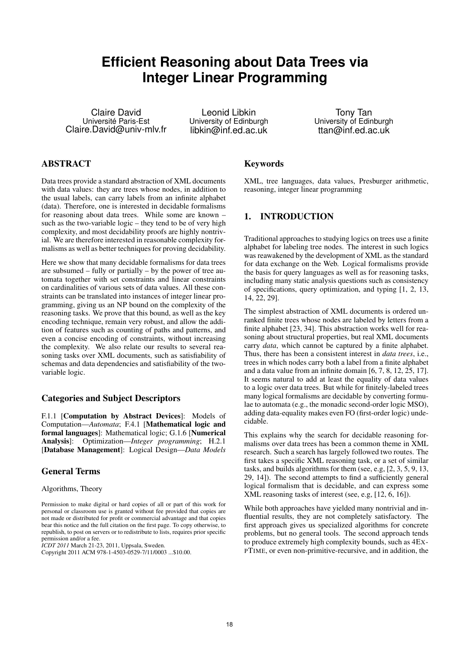# **Efficient Reasoning about Data Trees via Integer Linear Programming**

Claire David Université Paris-Est Claire.David@univ-mlv.fr

Leonid Libkin University of Edinburgh libkin@inf.ed.ac.uk

Tony Tan University of Edinburgh ttan@inf.ed.ac.uk

## ABSTRACT

Data trees provide a standard abstraction of XML documents with data values: they are trees whose nodes, in addition to the usual labels, can carry labels from an infinite alphabet (data). Therefore, one is interested in decidable formalisms for reasoning about data trees. While some are known – such as the two-variable logic – they tend to be of very high complexity, and most decidability proofs are highly nontrivial. We are therefore interested in reasonable complexity formalisms as well as better techniques for proving decidability.

Here we show that many decidable formalisms for data trees are subsumed – fully or partially – by the power of tree automata together with set constraints and linear constraints on cardinalities of various sets of data values. All these constraints can be translated into instances of integer linear programming, giving us an NP bound on the complexity of the reasoning tasks. We prove that this bound, as well as the key encoding technique, remain very robust, and allow the addition of features such as counting of paths and patterns, and even a concise encoding of constraints, without increasing the complexity. We also relate our results to several reasoning tasks over XML documents, such as satisfiability of schemas and data dependencies and satisfiability of the twovariable logic.

#### Categories and Subject Descriptors

F.1.1 [Computation by Abstract Devices]: Models of Computation—*Automata*; F.4.1 [Mathematical logic and formal languages]: Mathematical logic; G.1.6 [Numerical Analysis]: Optimization—*Integer programming*; H.2.1 [Database Management]: Logical Design—*Data Models*

#### General Terms

Algorithms, Theory

*ICDT 2011* March 21-23, 2011, Uppsala, Sweden.

#### Keywords

XML, tree languages, data values, Presburger arithmetic, reasoning, integer linear programming

## 1. INTRODUCTION

Traditional approaches to studying logics on trees use a finite alphabet for labeling tree nodes. The interest in such logics was reawakened by the development of XML as the standard for data exchange on the Web. Logical formalisms provide the basis for query languages as well as for reasoning tasks, including many static analysis questions such as consistency of specifications, query optimization, and typing [1, 2, 13, 14, 22, 29].

The simplest abstraction of XML documents is ordered unranked finite trees whose nodes are labeled by letters from a finite alphabet [23, 34]. This abstraction works well for reasoning about structural properties, but real XML documents carry *data*, which cannot be captured by a finite alphabet. Thus, there has been a consistent interest in *data trees*, i.e., trees in which nodes carry both a label from a finite alphabet and a data value from an infinite domain [6, 7, 8, 12, 25, 17]. It seems natural to add at least the equality of data values to a logic over data trees. But while for finitely-labeled trees many logical formalisms are decidable by converting formulae to automata (e.g., the monadic second-order logic MSO), adding data-equality makes even FO (first-order logic) undecidable.

This explains why the search for decidable reasoning formalisms over data trees has been a common theme in XML research. Such a search has largely followed two routes. The first takes a specific XML reasoning task, or a set of similar tasks, and builds algorithms for them (see, e.g, [2, 3, 5, 9, 13, 29, 14]). The second attempts to find a sufficiently general logical formalism that is decidable, and can express some XML reasoning tasks of interest (see, e.g, [12, 6, 16]).

While both approaches have yielded many nontrivial and influential results, they are not completely satisfactory. The first approach gives us specialized algorithms for concrete problems, but no general tools. The second approach tends to produce extremely high complexity bounds, such as 4EX-PTIME, or even non-primitive-recursive, and in addition, the

Permission to make digital or hard copies of all or part of this work for personal or classroom use is granted without fee provided that copies are not made or distributed for profit or commercial advantage and that copies bear this notice and the full citation on the first page. To copy otherwise, to republish, to post on servers or to redistribute to lists, requires prior specific permission and/or a fee.

Copyright 2011 ACM 978-1-4503-0529-7/11/0003 ...\$10.00.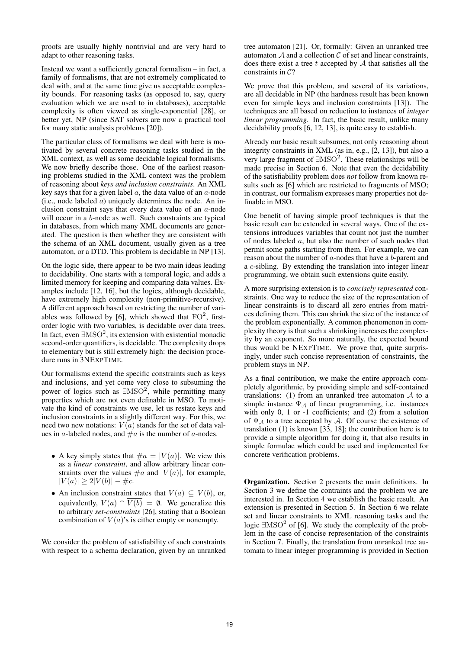proofs are usually highly nontrivial and are very hard to adapt to other reasoning tasks.

Instead we want a sufficiently general formalism – in fact, a family of formalisms, that are not extremely complicated to deal with, and at the same time give us acceptable complexity bounds. For reasoning tasks (as opposed to, say, query evaluation which we are used to in databases), acceptable complexity is often viewed as single-exponential [28], or better yet, NP (since SAT solvers are now a practical tool for many static analysis problems [20]).

The particular class of formalisms we deal with here is motivated by several concrete reasoning tasks studied in the XML context, as well as some decidable logical formalisms. We now briefly describe those. One of the earliest reasoning problems studied in the XML context was the problem of reasoning about *keys and inclusion constraints*. An XML key says that for a given label  $a$ , the data value of an  $a$ -node (i.e., node labeled  $a$ ) uniquely determines the node. An inclusion constraint says that every data value of an a-node will occur in a b-node as well. Such constraints are typical in databases, from which many XML documents are generated. The question is then whether they are consistent with the schema of an XML document, usually given as a tree automaton, or a DTD. This problem is decidable in NP [13].

On the logic side, there appear to be two main ideas leading to decidability. One starts with a temporal logic, and adds a limited memory for keeping and comparing data values. Examples include [12, 16], but the logics, although decidable, have extremely high complexity (non-primitive-recursive). A different approach based on restricting the number of variables was followed by [6], which showed that  $FO^2$ , firstorder logic with two variables, is decidable over data trees. In fact, even  $\text{MSO}^2$ , its extension with existential monadic second-order quantifiers, is decidable. The complexity drops to elementary but is still extremely high: the decision procedure runs in 3NEXPTIME.

Our formalisms extend the specific constraints such as keys and inclusions, and yet come very close to subsuming the power of logics such as  $\exists\text{MSO}^2$ , while permitting many properties which are not even definable in MSO. To motivate the kind of constraints we use, let us restate keys and inclusion constraints in a slightly different way. For this, we need two new notations:  $V(a)$  stands for the set of data values in a-labeled nodes, and  $\#a$  is the number of a-nodes.

- A key simply states that  $\#a = |V(a)|$ . We view this as a *linear constraint*, and allow arbitrary linear constraints over the values  $\#a$  and  $|V(a)|$ , for example,  $|V(a)| \geq 2|V(b)| - \#c.$
- An inclusion constraint states that  $V(a) \subseteq V(b)$ , or, equivalently,  $V(a) \cap \overline{V(b)} = \emptyset$ . We generalize this to arbitrary *set-constraints* [26], stating that a Boolean combination of  $V(a)$ 's is either empty or nonempty.

We consider the problem of satisfiability of such constraints with respect to a schema declaration, given by an unranked

tree automaton [21]. Or, formally: Given an unranked tree automaton  $A$  and a collection  $C$  of set and linear constraints, does there exist a tree  $t$  accepted by  $A$  that satisfies all the constraints in C?

We prove that this problem, and several of its variations, are all decidable in NP (the hardness result has been known even for simple keys and inclusion constraints [13]). The techniques are all based on reduction to instances of *integer linear programming*. In fact, the basic result, unlike many decidability proofs [6, 12, 13], is quite easy to establish.

Already our basic result subsumes, not only reasoning about integrity constraints in XML (as in, e.g., [2, 13]), but also a very large fragment of  $\exists\text{MSO}^2$ . These relationships will be made precise in Section 6. Note that even the decidability of the satisfiability problem does *not* follow from known results such as [6] which are restricted to fragments of MSO; in contrast, our formalism expresses many properties not definable in MSO.

One benefit of having simple proof techniques is that the basic result can be extended in several ways. One of the extensions introduces variables that count not just the number of nodes labeled a, but also the number of such nodes that permit some paths starting from them. For example, we can reason about the number of a-nodes that have a b-parent and a c-sibling. By extending the translation into integer linear programming, we obtain such extensions quite easily.

A more surprising extension is to *concisely represented* constraints. One way to reduce the size of the representation of linear constraints is to discard all zero entries from matrices defining them. This can shrink the size of the instance of the problem exponentially. A common phenomenon in complexity theory is that such a shrinking increases the complexity by an exponent. So more naturally, the expected bound thus would be NEXPTIME. We prove that, quite surprisingly, under such concise representation of constraints, the problem stays in NP.

As a final contribution, we make the entire approach completely algorithmic, by providing simple and self-contained translations: (1) from an unranked tree automaton  $A$  to a simple instance  $\Psi_A$  of linear programming, i.e. instances with only 0, 1 or -1 coefficients; and (2) from a solution of  $\Psi_A$  to a tree accepted by A. Of course the existence of translation (1) is known [33, 18]; the contribution here is to provide a simple algorithm for doing it, that also results in simple formulae which could be used and implemented for concrete verification problems.

Organization. Section 2 presents the main definitions. In Section 3 we define the contraints and the problem we are interested in. In Section 4 we establish the basic result. An extension is presented in Section 5. In Section 6 we relate set and linear constraints to XML reasoning tasks and the logic  $\exists$ MSO<sup>2</sup> of [6]. We study the complexity of the problem in the case of concise representation of the constraints in Section 7. Finally, the translation from unranked tree automata to linear integer programming is provided in Section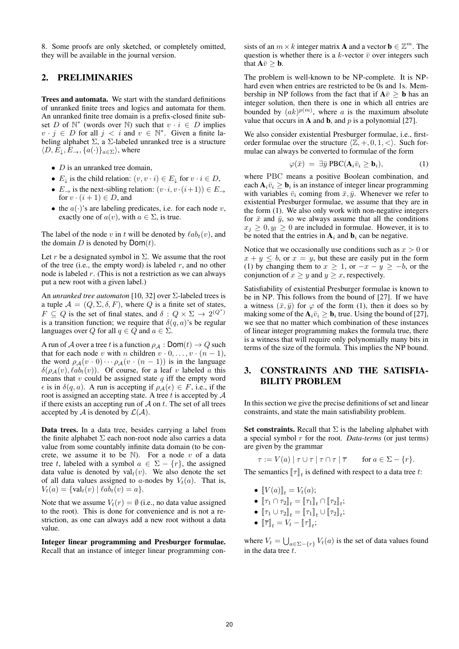8. Some proofs are only sketched, or completely omitted, they will be available in the journal version.

#### 2. PRELIMINARIES

Trees and automata. We start with the standard definitions of unranked finite trees and logics and automata for them. An unranked finite tree domain is a prefix-closed finite subset D of  $\mathbb{N}^*$  (words over  $\mathbb{N}$ ) such that  $v \cdot i \in D$  implies  $v \cdot j \in D$  for all  $j < i$  and  $v \in \mathbb{N}^*$ . Given a finite labeling alphabet  $\Sigma$ , a  $\Sigma$ -labeled unranked tree is a structure  $\langle D, E_{\downarrow}, E_{\rightarrow}, \{a(\cdot)\}_{a \in \Sigma} \rangle$ , where

- $D$  is an unranked tree domain,
- $E_{\perp}$  is the child relation:  $(v, v \cdot i) \in E_{\perp}$  for  $v \cdot i \in D$ ,
- $E_{\rightarrow}$  is the next-sibling relation:  $(v \cdot i, v \cdot (i+1)) \in E_{\rightarrow}$ for  $v \cdot (i + 1) \in D$ , and
- the  $a(\cdot)$ 's are labeling predicates, i.e. for each node v, exactly one of  $a(v)$ , with  $a \in \Sigma$ , is true.

The label of the node v in t will be denoted by  $\ell ab_t(v)$ , and the domain  $D$  is denoted by  $Dom(t)$ .

Let r be a designated symbol in  $\Sigma$ . We assume that the root of the tree (i.e., the empty word) is labeled  $r$ , and no other node is labeled r. (This is not a restriction as we can always put a new root with a given label.)

An *unranked tree automaton* [10, 32] over Σ-labeled trees is a tuple  $\mathcal{A} = (Q, \Sigma, \delta, F)$ , where Q is a finite set of states,  $F \subseteq Q$  is the set of final states, and  $\delta: Q \times \Sigma \to 2^{(Q^*)}$ is a transition function; we require that  $\delta(q, a)$ 's be regular languages over Q for all  $q \in Q$  and  $a \in \Sigma$ .

A run of A over a tree t is a function  $\rho_A : \textsf{Dom}(t) \to Q$  such that for each node v with n children  $v \cdot 0, \ldots, v \cdot (n-1)$ , the word  $\rho_A(v \cdot 0) \cdots \rho_A(v \cdot (n-1))$  is in the language  $\delta(\rho_{\mathcal{A}}(v), \ell ab_t(v)).$  Of course, for a leaf v labeled a this means that  $v$  could be assigned state  $q$  iff the empty word  $\epsilon$  is in  $\delta(q, a)$ . A run is accepting if  $\rho_{\mathcal{A}}(\epsilon) \in F$ , i.e., if the root is assigned an accepting state. A tree t is accepted by  $A$ if there exists an accepting run of  $A$  on  $t$ . The set of all trees accepted by A is denoted by  $\mathcal{L}(\mathcal{A})$ .

Data trees. In a data tree, besides carrying a label from the finite alphabet  $\Sigma$  each non-root node also carries a data value from some countably infinite data domain (to be concrete, we assume it to be  $\mathbb N$ ). For a node v of a data tree t, labeled with a symbol  $a \in \Sigma - \{r\}$ , the assigned data value is denoted by  $\operatorname{val}_t(v)$ . We also denote the set of all data values assigned to a-nodes by  $V_t(a)$ . That is,  $V_t(a) = \{ val_t(v) | \, \ell ab_t(v) = a \}.$ 

Note that we assume  $V_t(r) = \emptyset$  (i.e., no data value assigned to the root). This is done for convenience and is not a restriction, as one can always add a new root without a data value.

Integer linear programming and Presburger formulae. Recall that an instance of integer linear programming con-

sists of an  $m \times k$  integer matrix **A** and a vector  $\mathbf{b} \in \mathbb{Z}^m$ . The question is whether there is a k-vector  $\bar{v}$  over integers such that  $A\bar{v} > b$ .

The problem is well-known to be NP-complete. It is NPhard even when entries are restricted to be 0s and 1s. Membership in NP follows from the fact that if  $A\bar{v} > b$  has an integer solution, then there is one in which all entries are bounded by  $(ak)^{p(m)}$ , where a is the maximum absolute value that occurs in **A** and **b**, and  $p$  is a polynomial [27].

We also consider existential Presburger formulae, i.e., firstorder formulae over the structure  $\langle \mathbb{Z}, +, 0, 1, \langle \rangle$ . Such formulae can always be converted to formulae of the form

$$
\varphi(\bar{x}) = \exists \bar{y} \, \text{PBC}(\mathbf{A}_i \bar{v}_i \ge \mathbf{b}_i), \tag{1}
$$

where PBC means a positive Boolean combination, and each  $A_i\bar{v}_i \geq \mathbf{b}_i$  is an instance of integer linear programming with variables  $\bar{v}_i$  coming from  $\bar{x}, \bar{y}$ . Whenever we refer to existential Presburger formulae, we assume that they are in the form (1). We also only work with non-negative integers for  $\bar{x}$  and  $\bar{y}$ , so we always assume that all the conditions  $x_j \geq 0, y_l \geq 0$  are included in formulae. However, it is to be noted that the entries in  $A_i$  and  $b_i$  can be negative.

Notice that we occasionally use conditions such as  $x > 0$  or  $x + y \leq b$ , or  $x = y$ , but these are easily put in the form (1) by changing them to  $x \ge 1$ , or  $-x - y \ge -b$ , or the conjunction of  $x \geq y$  and  $y \geq x$ , respectively.

Satisfiability of existential Presburger formulae is known to be in NP. This follows from the bound of [27]. If we have a witness  $(\bar{x}, \bar{y})$  for  $\varphi$  of the form (1), then it does so by making some of the  $A_i\bar{v}_i \geq \mathbf{b}_i$  true. Using the bound of [27], we see that no matter which combination of these instances of linear integer programming makes the formula true, there is a witness that will require only polynomially many bits in terms of the size of the formula. This implies the NP bound.

# 3. CONSTRAINTS AND THE SATISFIA-BILITY PROBLEM

In this section we give the precise definitions of set and linear constraints, and state the main satisfiability problem.

Set constraints. Recall that  $\Sigma$  is the labeling alphabet with a special symbol r for the root. *Data-terms* (or just terms) are given by the grammar

 $\tau := V(a) | \tau \cup \tau | \tau \cap \tau | \overline{\tau}$  for  $a \in \Sigma - \{r\}.$ 

The semantics  $[\![\tau]\!]_t$  is defined with respect to a data tree t:

- $[V(a)]_t = V_t(a);$
- $\bullet \ \llbracket \tau_1 \cap \tau_2 \rrbracket_t = \llbracket \tau_1 \rrbracket_t \cap \llbracket \tau_2 \rrbracket_t;$
- $[\![\tau_1 \cup \tau_2]\!]_t = [\![\tau_1]\!]_t \cup [\![\tau_2]\!]_t;$
- $\llbracket \overline{\tau} \rrbracket_t = V_t \llbracket \tau \rrbracket_t;$

where  $V_t = \bigcup_{a \in \Sigma - \{r\}} V_t(a)$  is the set of data values found in the data tree  $t$ .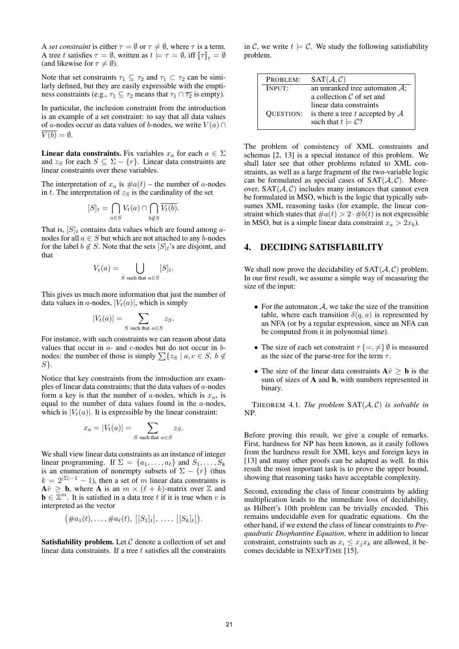A *set constraint* is either  $\tau = \emptyset$  or  $\tau \neq \emptyset$ , where  $\tau$  is a term. A tree t satisfies  $\tau = \emptyset$ , written as  $t \models \tau = \emptyset$ , iff  $[\![\tau]\!]_t = \emptyset$ (and likewise for  $\tau \neq \emptyset$ ).

Note that set constraints  $\tau_1 \subseteq \tau_2$  and  $\tau_1 \subset \tau_2$  can be similarly defined, but they are easily expressible with the emptiness constraints (e.g.,  $\tau_1 \subseteq \tau_2$  means that  $\tau_1 \cap \overline{\tau_2}$  is empty).

In particular, the inclusion constraint from the introduction is an example of a set constraint: to say that all data values of a-nodes occur as data values of b-nodes, we write  $V(a) \cap$  $\overline{V(b)} = \emptyset.$ 

**Linear data constraints.** Fix variables  $x_a$  for each  $a \in \Sigma$ and  $z_S$  for each  $S \subseteq \Sigma - \{r\}$ . Linear data constraints are linear constraints over these variables.

The interpretation of  $x_a$  is  $\#a(t)$  – the number of a-nodes in t. The interpretation of  $z<sub>S</sub>$  is the cardinality of the set

$$
[S]_t = \bigcap_{a \in S} V_t(a) \cap \bigcap_{b \notin S} \overline{V_t(b)}.
$$

That is,  $[S]_t$  contains data values which are found among anodes for all  $a \in S$  but which are not attached to any b-nodes for the label  $b \notin S$ . Note that the sets  $[S]_t$ 's are disjoint, and that

$$
V_t(a) = \bigcup_{S \text{ such that } a \in S} [S]_t.
$$

This gives us much more information that just the number of data values in a-nodes,  $|V_t(a)|$ , which is simply

$$
|V_t(a)| = \sum_{S \text{ such that } a \in S} z_S.
$$

For instance, with such constraints we can reason about data values that occur in  $a$ - and  $c$ -nodes but do not occur in  $b$ nodes: the number of those is simply  $\sum \{z_S | a, c \in S, b \notin \}$  $S$ .

Notice that key constraints from the introduction are examples of linear data constraints; that the data values of  $a$ -nodes form a key is that the number of a-nodes, which is  $x_a$ , is equal to the number of data values found in the  $a$ -nodes, which is  $|V_t(a)|$ . It is expressible by the linear constraint:

$$
x_a = |V_t(a)| = \sum_{S \text{ such that } a \in S} z_S.
$$

We shall view linear data constraints as an instance of integer linear programming. If  $\Sigma = \{a_1, \ldots, a_\ell\}$  and  $S_1, \ldots, S_k$ is an enumeration of nonempty subsets of  $\Sigma - \{r\}$  (thus  $k = 2^{|\Sigma|-1} - 1$ , then a set of m linear data constraints is  $A\overline{v} \geq b$ , where A is an  $m \times (\ell + k)$ -matrix over Z and  $\mathbf{b} \in \overline{\mathbb{Z}}^m$ . It is satisfied in a data tree t if it is true when v is interpreted as the vector

$$
(\#a_1(t),\ldots,\#a_\ell(t),|[S_1]_t|,\ldots,|[S_k]_t|).
$$

**Satisfiability problem.** Let  $C$  denote a collection of set and linear data constraints. If a tree  $t$  satisfies all the constraints

in C, we write  $t \models C$ . We study the following satisfiability problem.

| PROBLEM:         | SAT(A, C)                                  |
|------------------|--------------------------------------------|
| INPUT:           | an unranked tree automaton $\mathcal{A}$ : |
|                  | a collection $C$ of set and                |
|                  | linear data constraints                    |
| <b>OUESTION:</b> | is there a tree t accepted by $A$          |
|                  | such that $t \models C$ ?                  |
|                  |                                            |

The problem of consistency of XML constraints and schemas [2, 13] is a special instance of this problem. We shall later see that other problems related to XML constraints, as well as a large fragment of the two-variable logic can be formulated as special cases of  $SAT(A, C)$ . Moreover,  $SAT(A, C)$  includes many instances that cannot even be formulated in MSO, which is the logic that typically subsumes XML reasoning tasks (for example, the linear constraint which states that  $\#a(t) > 2 \cdot \#b(t)$  is not expressible in MSO, but is a simple linear data constraint  $x_a > 2x_b$ ).

#### 4. DECIDING SATISFIABILITY

We shall now prove the decidability of  $SAT(A, C)$  problem. In our first result, we assume a simple way of measuring the size of the input:

- For the automaton  $A$ , we take the size of the transition table, where each transition  $\delta(q, a)$  is represented by an NFA (or by a regular expression, since an NFA can be computed from it in polynomial time).
- The size of each set constraint  $\tau \{ =, \neq \} \emptyset$  is measured as the size of the parse-tree for the term  $\tau$ .
- The size of the linear data constraints  $A\bar{v} \geq b$  is the sum of sizes of A and b, with numbers represented in binary.

THEOREM 4.1. *The problem*  $SAT(A, C)$  *is solvable in* NP*.*

Before proving this result, we give a couple of remarks. First, hardness for NP has been known, as it easily follows from the hardness result for XML keys and foreign keys in [13] and many other proofs can be adapted as well. In this result the most important task is to prove the upper bound, showing that reasoning tasks have acceptable complexity.

Second, extending the class of linear constraints by adding multiplication leads to the immediate loss of decidability, as Hilbert's 10th problem can be trivially encoded. This remains undecidable even for quadratic equations. On the other hand, if we extend the class of linear constraints to *Prequadratic Diophantine Equation*, where in addition to linear constraint, constraints such as  $x_i \leq x_j x_k$  are allowed, it becomes decidable in NEXPTIME [15].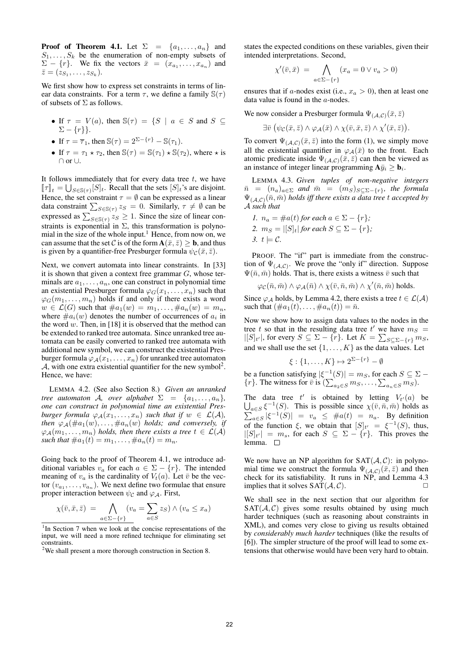**Proof of Theorem 4.1.** Let  $\Sigma = \{a_1, \ldots, a_n\}$  and  $S_1, \ldots, S_k$  be the enumeration of non-empty subsets of  $\Sigma - \{r\}$ . We fix the vectors  $\bar{x} = (x_{a_1}, \dots, x_{a_n})$  and  $\bar{z}=(z_{S_1},\ldots,z_{S_k}).$ 

We first show how to express set constraints in terms of linear data constraints. For a term  $\tau$ , we define a family  $\mathbb{S}(\tau)$ of subsets of  $\Sigma$  as follows.

- If  $\tau = V(a)$ , then  $\mathbb{S}(\tau) = \{S \mid a \in S \text{ and } S \subseteq$  $\Sigma - \{r\}\}.$
- If  $\tau = \overline{\tau}_1$ , then  $\mathbb{S}(\tau) = 2^{\Sigma \{r\}} \mathbb{S}(\tau_1)$ .
- If  $\tau = \tau_1 \star \tau_2$ , then  $\mathbb{S}(\tau) = \mathbb{S}(\tau_1) \star \mathbb{S}(\tau_2)$ , where  $\star$  is ∩ or ∪.

It follows immediately that for every data tree  $t$ , we have  $[\![\tau]\!]_t = \bigcup_{S \in \mathcal{S}(\tau)} [S]_t$ . Recall that the sets  $[S]_t$ 's are disjoint. Hence, the set constraint  $\tau = \emptyset$  can be expressed as a linear data constraint  $\sum_{S \in \mathbb{S}(\tau)} z_S = 0$ . Similarly,  $\tau \neq \emptyset$  can be expressed as  $\sum_{S \in \mathcal{S}(\tau)} z_S \geq 1$ . Since the size of linear constraints is exponential in  $\Sigma$ , this transformation is polynomial in the size of the whole input.<sup>1</sup> Hence, from now on, we can assume that the set C is of the form  $\mathbf{A}(\bar{x}, \bar{z}) \geq \mathbf{b}$ , and thus is given by a quantifier-free Presburger formula  $\psi_c(\bar{x}, \bar{z})$ .

Next, we convert automata into linear constraints. In [33] it is shown that given a context free grammar  $G$ , whose terminals are  $a_1, \ldots, a_n$ , one can construct in polynomial time an existential Presburger formula  $\varphi_G(x_1, \ldots, x_n)$  such that  $\varphi_G(m_1, \ldots, m_n)$  holds if and only if there exists a word  $w \in \mathcal{L}(G)$  such that  $\#a_1(w) = m_1, \ldots, \#a_n(w) = m_n$ , where  $\#a_i(w)$  denotes the number of occurrences of  $a_i$  in the word  $w$ . Then, in [18] it is observed that the method can be extended to ranked tree automata. Since unranked tree automata can be easily converted to ranked tree automata with additional new symbol, we can construct the existential Presburger formula  $\varphi_A(x_1,\ldots,x_n)$  for unranked tree automaton  $A$ , with one extra existential quantifier for the new symbol<sup>2</sup>. Hence, we have:

LEMMA 4.2. (See also Section 8.) *Given an unranked tree automaton A*, *over alphabet*  $\Sigma = \{a_1, \ldots, a_n\}$ , *one can construct in polynomial time an existential Presburger formula*  $\varphi_A(x_1, \ldots, x_n)$  *such that if*  $w \in \mathcal{L}(\mathcal{A})$ *, then*  $\varphi_{\mathcal{A}}(\#a_1(w), \ldots, \#a_n(w))$  *holds; and conversely, if*  $\varphi_{\mathcal{A}}(m_1, \ldots, m_n)$  *holds, then there exists a tree*  $t \in \mathcal{L}(\mathcal{A})$ *such that*  $\#a_1(t) = m_1, \ldots, \#a_n(t) = m_n$ .

Going back to the proof of Theorem 4.1, we introduce additional variables  $v_a$  for each  $a \in \Sigma - \{r\}$ . The intended meaning of  $v_a$  is the cardinality of  $V_t(a)$ . Let  $\bar{v}$  be the vector  $(v_{a_1}, \ldots, v_{a_n})$ . We next define two formulae that ensure proper interaction between  $\psi_c$  and  $\varphi_A$ . First,

$$
\chi(\bar{v}, \bar{x}, \bar{z}) = \bigwedge_{a \in \Sigma - \{r\}} (v_a = \sum_{a \in S} z_S) \wedge (v_a \le x_a)
$$

states the expected conditions on these variables, given their intended interpretations. Second,

$$
\chi'(\bar{v}, \bar{x}) = \bigwedge_{a \in \Sigma - \{r\}} (x_a = 0 \lor v_a > 0)
$$

ensures that if a-nodes exist (i.e.,  $x_a > 0$ ), then at least one data value is found in the a-nodes.

We now consider a Presburger formula  $\Psi_{(A,C)}(\bar{x}, \bar{z})$ 

$$
\exists \bar{v} \ (\psi_{\mathcal{C}}(\bar{x},\bar{z}) \wedge \varphi_{\mathcal{A}}(\bar{x}) \wedge \chi(\bar{v},\bar{x},\bar{z}) \wedge \chi'(\bar{x},\bar{z})).
$$

To convert  $\Psi_{(\mathcal{A},\mathcal{C})}(\bar{x},\bar{z})$  into the form (1), we simply move all the existential quantifier in  $\varphi_{\mathcal{A}}(\bar{x})$  to the front. Each atomic predicate inside  $\Psi_{(\mathcal{A},\mathcal{C})}(\bar{x},\bar{z})$  can then be viewed as an instance of integer linear programming  $A\bar{y}_i \geq b_i$ .

LEMMA 4.3. *Given tuples of non-negative integers*  $\bar{n} = (n_a)_{a \in \Sigma}$  and  $\bar{m} = (m_S)_{S \subseteq \Sigma - \{r\}}$ , the formula  $\Psi_{(A,C)}(\bar{n},\bar{m})$  *holds iff there exists a data tree t accepted by* A *such that*

\n- $$
1. n_a = \#a(t)
$$
 for each  $a \in \Sigma - \{r\}$ ;
\n- $m_S = |[S]_t|$  for each  $S \subseteq \Sigma - \{r\}$ ;
\n- $s. t \models C$ .
\n

PROOF. The "if" part is immediate from the construction of  $\Psi_{(\mathcal{A},\mathcal{C})}$ . We prove the "only if" direction. Suppose  $\Psi(\bar{n}, \bar{m})$  holds. That is, there exists a witness  $\bar{v}$  such that

$$
\varphi_{\mathcal{C}}(\bar{n}, \bar{m}) \wedge \varphi_{\mathcal{A}}(\bar{n}) \wedge \chi(\bar{v}, \bar{n}, \bar{m}) \wedge \chi'(\bar{n}, \bar{m})
$$
 holds.

Since  $\varphi_A$  holds, by Lemma 4.2, there exists a tree  $t \in \mathcal{L}(\mathcal{A})$ such that  $(\#a_1(t), \ldots, \#a_n(t)) = \bar{n}$ .

Now we show how to assign data values to the nodes in the tree t so that in the resulting data tree t' we have  $m<sub>S</sub>$  =  $|[S]_{t'}|$ , for every  $S \subseteq \Sigma - \{r\}$ . Let  $K = \sum_{S \subseteq \Sigma - \{r\}} m_S$ , and we shall use the set  $\{1, \ldots, K\}$  as the data values. Let

$$
\xi: \{1, \ldots, K\} \mapsto 2^{\Sigma - \{r\}} - \emptyset
$$

be a function satisfying  $|\xi^{-1}(S)| = m_S$ , for each  $S \subseteq \Sigma$  –  $\{r\}$ . The witness for  $\bar{v}$  is  $(\sum_{a_2 \in S} m_S, \dots, \sum_{a_n \in S} m_S)$ .

The data tree  $t'$ The data tree  $t'$  is obtained by letting  $V_{t'}(a)$  be  $\bigcup_{a \in S} \xi^{-1}(S)$ . This is possible since  $\chi(\bar{v}, \bar{n}, \bar{m})$  holds as  $\sum_{a \in S} |\xi^{-1}(S)| = v_a \leq \#a(t) = n_a$ . By definition of the function  $\xi$ , we obtain that  $[S]_{t'} = \xi^{-1}(S)$ , thus,  $|[S]_{t'}| = m_s$ , for each  $S \subseteq \Sigma - \{r\}$ . This proves the lemma.  $\Box$ 

We now have an NP algorithm for  $SAT(A, C)$ : in polynomial time we construct the formula  $\Psi_{(A,C)}(\bar{x}, \bar{z})$  and then check for its satisfiability. It runs in NP, and Lemma 4.3 implies that it solves  $SAT(A, C)$ .

We shall see in the next section that our algorithm for  $SAT(\mathcal{A}, \mathcal{C})$  gives some results obtained by using much harder techniques (such as reasoning about constraints in XML), and comes very close to giving us results obtained by *considerably much harder* techniques (like the results of [6]). The simpler structure of the proof will lead to some extensions that otherwise would have been very hard to obtain.

<sup>&</sup>lt;sup>1</sup>In Section 7 when we look at the concise representations of the input, we will need a more refined technique for eliminating set constraints.

<sup>&</sup>lt;sup>2</sup>We shall present a more thorough construction in Section 8.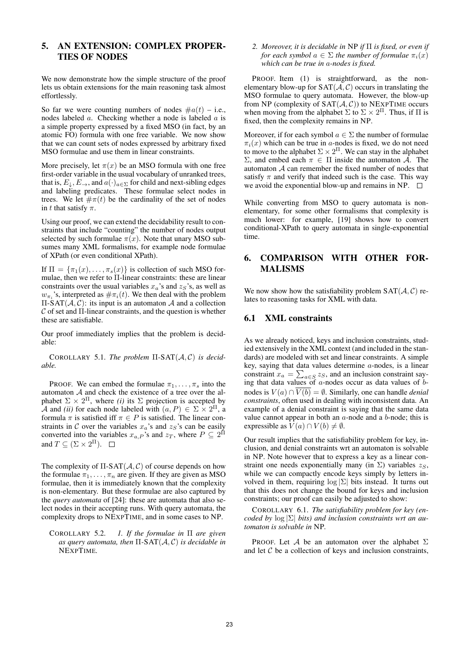# 5. AN EXTENSION: COMPLEX PROPER-TIES OF NODES

We now demonstrate how the simple structure of the proof lets us obtain extensions for the main reasoning task almost effortlessly.

So far we were counting numbers of nodes  $\#a(t)$  – i.e., nodes labeled a. Checking whether a node is labeled a is a simple property expressed by a fixed MSO (in fact, by an atomic FO) formula with one free variable. We now show that we can count sets of nodes expressed by arbitrary fixed MSO formulae and use them in linear constraints.

More precisely, let  $\pi(x)$  be an MSO formula with one free first-order variable in the usual vocabulary of unranked trees, that is,  $E_{\perp}, E_{\rightarrow}$ , and  $a(\cdot)_{a \in \Sigma}$  for child and next-sibling edges and labeling predicates. These formulae select nodes in trees. We let  $\#\pi(t)$  be the cardinality of the set of nodes in t that satisfy  $\pi$ .

Using our proof, we can extend the decidability result to constraints that include "counting" the number of nodes output selected by such formulae  $\pi(x)$ . Note that unary MSO subsumes many XML formalisms, for example node formulae of XPath (or even conditional XPath).

If  $\Pi = {\pi_1(x), \ldots, \pi_s(x)}$  is collection of such MSO formulae, then we refer to Π-linear constraints: these are linear constraints over the usual variables  $x_a$ 's and  $z_s$ 's, as well as  $w_{\pi_i}$ 's, interpreted as  $\#\pi_i(t)$ . We then deal with the problem  $\Pi$ -SAT( $A, C$ ): its input is an automaton A and a collection  $\mathcal C$  of set and  $\Pi$ -linear constraints, and the question is whether these are satisfiable.

Our proof immediately implies that the problem is decidable:

COROLLARY 5.1. *The problem* Π*-*SAT(A, C) *is decidable.*

PROOF. We can embed the formulae  $\pi_1, \ldots, \pi_s$  into the automaton  $A$  and check the existence of a tree over the alphabet  $\Sigma \times 2^{\Pi}$ , where *(i)* its  $\Sigma$  projection is accepted by A and *(ii)* for each node labeled with  $(a, P) \in \Sigma \times 2^{\Pi}$ , a formula  $\pi$  is satisfied iff  $\pi \in P$  is satisfied. The linear constraints in C over the variables  $x_a$ 's and  $z_s$ 's can be easily converted into the variables  $x_{a,P}$ 's and  $z_T$ , where  $P \subseteq 2^{\Pi}$ and  $T \subseteq (\Sigma \times 2^{\Pi}).$ 

The complexity of  $\Pi$ -SAT $(A, C)$  of course depends on how the formulae  $\pi_1, \ldots, \pi_n$  are given. If they are given as MSO formulae, then it is immediately known that the complexity is non-elementary. But these formulae are also captured by the *query automata* of [24]: these are automata that also select nodes in their accepting runs. With query automata, the complexity drops to NEXPTIME, and in some cases to NP.

COROLLARY 5.2. *1. If the formulae in* Π *are given as query automata, then* Π*-*SAT(A, C) *is decidable in* NEXPTIME*.*

*2. Moreover, it is decidable in* NP *if* Π *is fixed, or even if for each symbol*  $a \in \Sigma$  *the number of formulae*  $\pi_i(x)$ *which can be true in* a*-nodes is fixed.*

PROOF. Item (1) is straightforward, as the nonelementary blow-up for  $SAT(\mathcal{A}, \mathcal{C})$  occurs in translating the MSO formulae to query automata. However, the blow-up from NP (complexity of  $SAT(\mathcal{A}, \mathcal{C})$ ) to NEXPTIME occurs when moving from the alphabet  $\Sigma$  to  $\Sigma \times 2^{\Pi}$ . Thus, if  $\Pi$  is fixed, then the complexity remains in NP.

Moreover, if for each symbol  $a \in \Sigma$  the number of formulae  $\pi_i(x)$  which can be true in a-nodes is fixed, we do not need to move to the alphabet  $\Sigma \times 2^{\Pi}$ . We can stay in the alphabet Σ, and embed each  $π ∈ Π$  inside the automaton  $A$ . The automaton A can remember the fixed number of nodes that satisfy  $\pi$  and verify that indeed such is the case. This way we avoid the exponential blow-up and remains in NP.  $\Box$ 

While converting from MSO to query automata is nonelementary, for some other formalisms that complexity is much lower: for example, [19] shows how to convert conditional-XPath to query automata in single-exponential time.

## 6. COMPARISON WITH OTHER FOR-MALISMS

We now show how the satisfiability problem  $SAT(\mathcal{A}, \mathcal{C})$  relates to reasoning tasks for XML with data.

## 6.1 XML constraints

As we already noticed, keys and inclusion constraints, studied extensively in the XML context (and included in the standards) are modeled with set and linear constraints. A simple key, saying that data values determine a-nodes, is a linear constraint  $x_a = \sum_{a \in S} z_s$ , and an inclusion constraint saying that data values of  $a$ -nodes occur as data values of  $b$ nodes is  $V(a) \cap \overline{V(b)} = \emptyset$ . Similarly, one can handle *denial constraints*, often used in dealing with inconsistent data. An example of a denial constraint is saying that the same data value cannot appear in both an  $a$ -node and a  $b$ -node; this is expressible as  $V(a) \cap V(b) \neq \emptyset$ .

Our result implies that the satisfiability problem for key, inclusion, and denial constraints wrt an automaton is solvable in NP. Note however that to express a key as a linear constraint one needs exponentially many (in  $\Sigma$ ) variables  $z_S$ , while we can compactly encode keys simply by letters involved in them, requiring  $\log |\Sigma|$  bits instead. It turns out that this does not change the bound for keys and inclusion constraints; our proof can easily be adjusted to show:

COROLLARY 6.1. *The satisfiability problem for key (encoded by* log |Σ| *bits) and inclusion constraints wrt an automaton is solvable in* NP*.*

PROOF. Let A be an automaton over the alphabet  $\Sigma$ and let  $C$  be a collection of keys and inclusion constraints,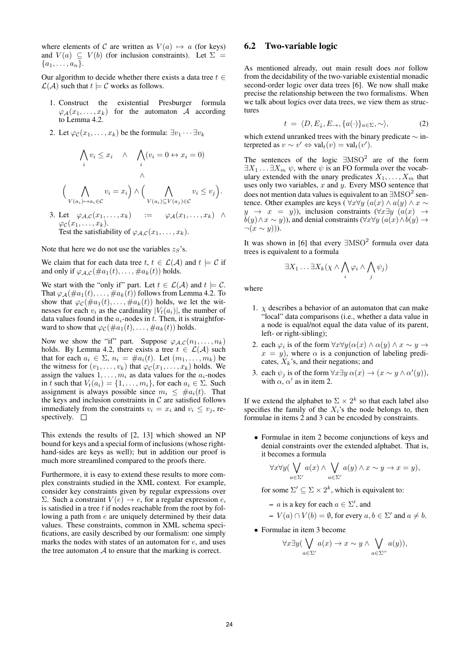where elements of C are written as  $V(a) \mapsto a$  (for keys) and  $V(a) \subseteq V(b)$  (for inclusion constraints). Let  $\Sigma =$  ${a_1, \ldots, a_n}.$ 

Our algorithm to decide whether there exists a data tree  $t \in$  $\mathcal{L}(\mathcal{A})$  such that  $t \models \mathcal{C}$  works as follows.

- 1. Construct the existential Presburger formula  $\varphi_{\mathcal{A}}(x_1, \ldots, x_k)$  for the automaton A according to Lemma 4.2.
- 2. Let  $\varphi_{\mathcal{C}}(x_1,\ldots,x_k)$  be the formula:  $\exists v_1\cdots\exists v_k$

$$
\bigwedge_i v_i \leq x_i \quad \land \quad \bigwedge_i (v_i = 0 \leftrightarrow x_i = 0)
$$
\n
$$
\bigwedge_{V(a_i) \mapsto a_i \in \mathcal{C}} v_i = x_i \bigg) \land \bigg( \bigwedge_{V(a_i) \subseteq V(a_j) \in \mathcal{C}} v_i \leq v_j \bigg).
$$
\n3. Let  $\varphi_{\mathcal{A},\mathcal{C}}(x_1,\ldots,x_k) := \varphi_{\mathcal{A}}(x_1,\ldots,x_k) \land \varphi_{\mathcal{C}}(x_1,\ldots,x_k).$ 

Test the satisfiability of  $\varphi_{A,C}(x_1,\ldots,x_k)$ .

Note that here we do not use the variables  $z_S$ 's.

We claim that for each data tree  $t, t \in \mathcal{L}(\mathcal{A})$  and  $t \models \mathcal{C}$  if and only if  $\varphi_{A,C}(\#a_1(t),\ldots,\#a_k(t))$  holds.

We start with the "only if" part. Let  $t \in \mathcal{L}(\mathcal{A})$  and  $t \models \mathcal{C}$ . That  $\varphi_{\mathcal{A}}(\#a_1(t), \ldots, \#a_k(t))$  follows from Lemma 4.2. To show that  $\varphi_c(\text{#}a_1(t), \ldots, \text{#}a_k(t))$  holds, we let the witnesses for each  $v_i$  as the cardinality  $|V_t(a_i)|$ , the number of data values found in the  $a_i$ -nodes in t. Then, it is straightforward to show that  $\varphi_c(\#a_1(t), \ldots, \#a_k(t))$  holds.

Now we show the "if" part. Suppose  $\varphi_{A,C}(n_1,\ldots,n_k)$ holds. By Lemma 4.2, there exists a tree  $t \in \mathcal{L}(\mathcal{A})$  such that for each  $a_i \in \Sigma$ ,  $n_i = \#a_i(t)$ . Let  $(m_1, \ldots, m_k)$  be the witness for  $(v_1, \ldots, v_k)$  that  $\varphi_c(x_1, \ldots, x_k)$  holds. We assign the values  $1, \ldots, m_i$  as data values for the  $a_i$ -nodes in t such that  $V_t(a_i) = \{1, \ldots, m_i\}$ , for each  $a_i \in \Sigma$ . Such assignment is always possible since  $m_i \leq \text{#a}_i(t)$ . That the keys and inclusion constraints in  $C$  are satisfied follows immediately from the constraints  $v_i = x_i$  and  $v_i \le v_j$ , respectively.  $\square$ 

This extends the results of [2, 13] which showed an NP bound for keys and a special form of inclusions (whose righthand-sides are keys as well); but in addition our proof is much more streamlined compared to the proofs there.

Furthermore, it is easy to extend these results to more complex constraints studied in the XML context. For example, consider key constraints given by regular expressions over Σ. Such a constraint  $V(e)$  → e, for a regular expression e, is satisfied in a tree  $t$  if nodes reachable from the root by following a path from e are uniquely determined by their data values. These constraints, common in XML schema specifications, are easily described by our formalism: one simply marks the nodes with states of an automaton for e, and uses the tree automaton  $A$  to ensure that the marking is correct.

#### 6.2 Two-variable logic

As mentioned already, out main result does *not* follow from the decidability of the two-variable existential monadic second-order logic over data trees [6]. We now shall make precise the relationship between the two formalisms. When we talk about logics over data trees, we view them as structures

$$
t = \langle D, E_{\downarrow}, E_{\rightarrow}, \{a(\cdot)\}_{a \in \Sigma}, \sim \rangle, \tag{2}
$$

which extend unranked trees with the binary predicate ∼ interpreted as  $v \sim v' \Leftrightarrow \text{val}_t(v) = \text{val}_t(v').$ 

The sentences of the logic  $\exists\text{MSO}^2$  are of the form  $\exists X_1 \ldots \exists X_m \psi$ , where  $\psi$  is an FO formula over the vocabulary extended with the unary predicates  $X_1, \ldots, X_m$  that uses only two variables,  $x$  and  $y$ . Every MSO sentence that does not mention data values is equivalent to an  $\exists\text{MSO}^2$  sentence. Other examples are keys (  $\forall x \forall y$   $(a(x) \land a(y) \land x \sim$  $y \rightarrow x = y$ ), inclusion constraints  $(\forall x \exists y \ (a(x) \rightarrow$  $b(y) \wedge x \sim y$ )), and denial constraints ( $\forall x \forall y$   $(a(x) \wedge b(y) \rightarrow$  $\neg(x \sim y))$ ).

It was shown in [6] that every  $\exists\text{MSO}^2$  formula over data trees is equivalent to a formula

$$
\exists X_1 \ldots \exists X_k (\chi \wedge \bigwedge_i \varphi_i \wedge \bigwedge_j \psi_j)
$$

where

- 1.  $\chi$  describes a behavior of an automaton that can make "local" data comparisons (i.e., whether a data value in a node is equal/not equal the data value of its parent, left- or right-sibling);
- 2. each  $\varphi_i$  is of the form  $\forall x \forall y (\alpha(x) \land \alpha(y) \land x \sim y \rightarrow y)$  $x = y$ , where  $\alpha$  is a conjunction of labeling predicates,  $X_k$ 's, and their negations; and
- 3. each  $\psi_j$  is of the form  $\forall x \exists y \; \alpha(x) \rightarrow (x \sim y \land \alpha'(y)),$ with  $\alpha$ ,  $\alpha'$  as in item 2.

If we extend the alphabet to  $\Sigma \times 2^k$  so that each label also specifies the family of the  $X_i$ 's the node belongs to, then formulae in items 2 and 3 can be encoded by constraints.

• Formulae in item 2 become conjunctions of keys and denial constraints over the extended alphabet. That is, it becomes a formula

$$
\forall x \forall y (\bigvee_{a \in \Sigma'} a(x) \land \bigvee_{a \in \Sigma'} a(y) \land x \sim y \to x = y),
$$

for some  $\Sigma' \subseteq \Sigma \times 2^k$ , which is equivalent to:

 $- a$  is a key for each  $a \in \Sigma'$ , and

$$
- V(a) \cap V(b) = \emptyset, \text{ for every } a, b \in \Sigma' \text{ and } a \neq b.
$$

• Formulae in item 3 become

$$
\forall x \exists y (\bigvee_{a \in \Sigma'} a(x) \to x \sim y \land \bigvee_{a \in \Sigma''} a(y)),
$$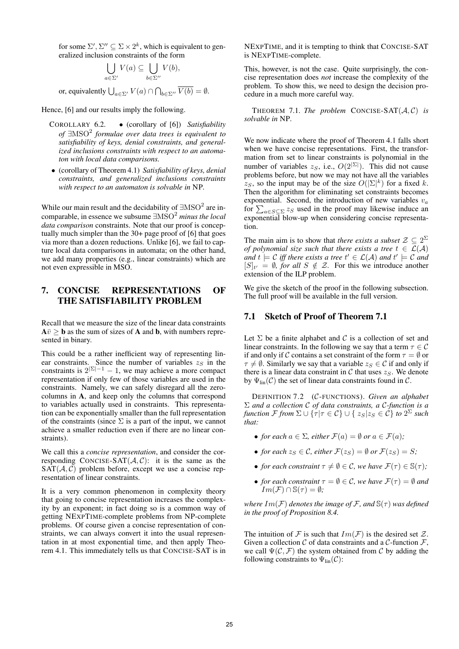for some  $\Sigma', \Sigma'' \subseteq \Sigma \times 2^k$ , which is equivalent to generalized inclusion constraints of the form

$$
\bigcup_{a \in \Sigma'} V(a) \subseteq \bigcup_{b \in \Sigma''} V(b),
$$

or, equivalently  $\bigcup_{a \in \Sigma'} V(a) \cap \bigcap_{b \in \Sigma''} V(b) = \emptyset$ .

Hence, [6] and our results imply the following.

- COROLLARY 6.2. (corollary of [6]) *Satisfiability of* ∃MSO<sup>2</sup> *formulae over data trees is equivalent to satisfiability of keys, denial constraints, and generalized inclusions constraints with respect to an automaton with local data comparisons.*
- (corollary of Theorem 4.1) *Satisfiability of keys, denial constraints, and generalized inclusions constraints with respect to an automaton is solvable in* NP*.*

While our main result and the decidability of  $\exists{\rm MSO}^2$  are incomparable, in essence we subsume ∃MSO<sup>2</sup> *minus the local data comparison* constraints. Note that our proof is conceptually much simpler than the 30+ page proof of [6] that goes via more than a dozen reductions. Unlike [6], we fail to capture local data comparisons in automata; on the other hand, we add many properties (e.g., linear constraints) which are not even expressible in MSO.

# 7. CONCISE REPRESENTATIONS OF THE SATISFIABILITY PROBLEM

Recall that we measure the size of the linear data constraints  $A\bar{v} \geq b$  as the sum of sizes of **A** and **b**, with numbers represented in binary.

This could be a rather inefficient way of representing linear constraints. Since the number of variables  $z_S$  in the constraints is  $2^{\lvert \Sigma \rvert - 1} - 1$ , we may achieve a more compact representation if only few of those variables are used in the constraints. Namely, we can safely disregard all the zerocolumns in A, and keep only the columns that correspond to variables actually used in constraints. This representation can be exponentially smaller than the full representation of the constraints (since  $\Sigma$  is a part of the input, we cannot achieve a smaller reduction even if there are no linear constraints).

We call this a *concise representation*, and consider the corresponding CONCISE-SAT $(A, C)$ : it is the same as the  $SAT(\mathcal{A}, \mathcal{C})$  problem before, except we use a concise representation of linear constraints.

It is a very common phenomenon in complexity theory that going to concise representation increases the complexity by an exponent; in fact doing so is a common way of getting NEXPTIME-complete problems from NP-complete problems. Of course given a concise representation of constraints, we can always convert it into the usual representation in at most exponential time, and then apply Theorem 4.1. This immediately tells us that CONCISE-SAT is in

NEXPTIME, and it is tempting to think that CONCISE-SAT is NEXPTIME-complete.

This, however, is not the case. Quite surprisingly, the concise representation does *not* increase the complexity of the problem. To show this, we need to design the decision procedure in a much more careful way.

THEOREM 7.1. *The problem* CONCISE-SAT $(A, C)$  *is solvable in* NP*.*

We now indicate where the proof of Theorem 4.1 falls short when we have concise representations. First, the transformation from set to linear constraints is polynomial in the number of variables  $z_S$ , i.e.,  $O(2^{|\Sigma|})$ . This did not cause problems before, but now we may not have all the variables  $z_S$ , so the input may be of the size  $O(|\Sigma|^k)$  for a fixed k. Then the algorithm for eliminating set constraints becomes exponential. Second, the introduction of new variables  $v_a$ for  $\sum_{a \in S \subseteq \Sigma} z_S$  used in the proof may likewise induce an exponential blow-up when considering concise representation.

The main aim is to show that *there exists a subset*  $\mathcal{Z} \subseteq 2^{\Sigma}$ *of polynomial size such that there exists a tree*  $t \in \mathcal{L}(\mathcal{A})$ and  $t \models C$  iff there exists a tree  $t' \in \mathcal{L}(\mathcal{A})$  and  $t' \models C$  and  $[S]_{t'} = \emptyset$ , for all  $S \notin \mathcal{Z}$ . For this we introduce another extension of the ILP problem.

We give the sketch of the proof in the following subsection. The full proof will be available in the full version.

## 7.1 Sketch of Proof of Theorem 7.1

Let  $\Sigma$  be a finite alphabet and  $\mathcal C$  is a collection of set and linear constraints. In the following we say that a term  $\tau \in \mathcal{C}$ if and only if C contains a set constraint of the form  $\tau = \emptyset$  or  $\tau \neq \emptyset$ . Similarly we say that a variable  $z_S \in \mathcal{C}$  if and only if there is a linear data constraint in  $\mathcal C$  that uses  $z_S$ . We denote by  $\Psi_{\text{lin}}(\mathcal{C})$  the set of linear data constraints found in  $\mathcal{C}$ .

DEFINITION 7.2 (C-FUNCTIONS). *Given an alphabet* Σ *and a collection* C *of data constraints, a* C*-function is a function*  ${\cal F}$  *from*  $\Sigma\cup\{\tau|\tau\in{\cal C}\}\cup\set{z_S|z_S\in{\cal C}}$  *to*  $2^\Sigma$  *such that:*

- *for each*  $a \in \Sigma$ *, either*  $\mathcal{F}(a) = \emptyset$  *or*  $a \in \mathcal{F}(a)$ *;*
- *for each*  $z_S \in C$ *, either*  $\mathcal{F}(z_S) = \emptyset$  *or*  $\mathcal{F}(z_S) = S$ *;*
- *for each constraint*  $\tau \neq \emptyset \in \mathcal{C}$ *, we have*  $\mathcal{F}(\tau) \in \mathbb{S}(\tau)$ *;*
- *for each constraint*  $\tau = \emptyset \in \mathcal{C}$ *, we have*  $\mathcal{F}(\tau) = \emptyset$  *and*  $Im(F) \cap \mathbb{S}(\tau) = \emptyset;$

*where*  $Im(F)$  *denotes the image of* F, and  $\mathbb{S}(\tau)$  *was defined in the proof of Proposition 8.4.*

The intuition of F is such that  $Im(F)$  is the desired set Z. Given a collection  $C$  of data constraints and a  $C$ -function  $\mathcal{F}$ , we call  $\Psi(\mathcal{C}, \mathcal{F})$  the system obtained from C by adding the following constraints to  $\Psi_{lin}(\mathcal{C})$ :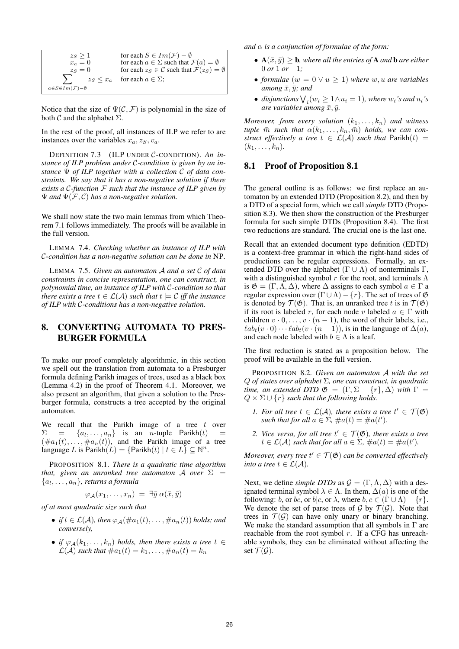| $z_S \geq 1$                              | for each $S \in Im(\mathcal{F}) - \emptyset$                            |
|-------------------------------------------|-------------------------------------------------------------------------|
| $x_a=0$                                   | for each $a \in \Sigma$ such that $\mathcal{F}(a) = \emptyset$          |
| $z_S=0$                                   | for each $z_S \in \mathcal{C}$ such that $\mathcal{F}(z_S) = \emptyset$ |
|                                           | $z_S \leq x_a$ for each $a \in \Sigma$ ;                                |
| $a \in S \in Im(\mathcal{F}) - \emptyset$ |                                                                         |

Notice that the size of  $\Psi(\mathcal{C}, \mathcal{F})$  is polynomial in the size of both  $\mathcal C$  and the alphabet  $\Sigma$ .

In the rest of the proof, all instances of ILP we refer to are instances over the variables  $x_a, z_S, v_a$ .

DEFINITION 7.3 (ILP UNDER C-CONDITION). *An instance of ILP problem under* C*-condition is given by an instance* Ψ *of ILP together with a collection* C *of data constraints. We say that it has a non-negative solution if there exists a* C*-function* F *such that the instance of ILP given by*  $\Psi$  *and*  $\Psi$ ( $F$ , $C$ ) has a non-negative solution.

We shall now state the two main lemmas from which Theorem 7.1 follows immediately. The proofs will be available in the full version.

LEMMA 7.4. *Checking whether an instance of ILP with* C*-condition has a non-negative solution can be done in* NP*.*

LEMMA 7.5. *Given an automaton* A *and a set* C *of data constraints in concise representation, one can construct, in polynomial time, an instance of ILP with* C*-condition so that there exists a tree*  $t \in \mathcal{L}(\mathcal{A})$  *such that*  $t \models \mathcal{C}$  *iff the instance of ILP with* C*-conditions has a non-negative solution.*

# 8. CONVERTING AUTOMATA TO PRES-BURGER FORMULA

To make our proof completely algorithmic, in this section we spell out the translation from automata to a Presburger formula defining Parikh images of trees, used as a black box (Lemma 4.2) in the proof of Theorem 4.1. Moreover, we also present an algorithm, that given a solution to the Presburger formula, constructs a tree accepted by the original automaton.

We recall that the Parikh image of a tree  $t$  over  $\Sigma = \{a_1, \ldots, a_n\}$  is an *n*-tuple Parikh $(t)$  =  $(\#a_1(t), \ldots, \#a_n(t))$ , and the Parikh image of a tree language L is  $\text{Parikh}(L) = \{\text{Parikh}(t) \mid t \in L\} \subseteq \mathbb{N}^n$ .

PROPOSITION 8.1. *There is a quadratic time algorithm that, given an unranked tree automaton* A *over*  $\Sigma$  = {a<sup>l</sup> , . . . , an}*, returns a formula*

$$
\varphi_{\mathcal{A}}(x_1,\ldots,x_n) = \exists \bar{y} \; \alpha(\bar{x},\bar{y})
$$

*of at most quadratic size such that*

- *if*  $t \in \mathcal{L}(\mathcal{A})$ *, then*  $\varphi_{\mathcal{A}}(\#a_1(t), \ldots, \#a_n(t))$  *holds; and conversely,*
- *if*  $\varphi_A(k_1,\ldots,k_n)$  *holds, then there exists a tree*  $t \in$  $\mathcal{L}(\mathcal{A})$  *such that*  $\#a_1(t) = k_1, \ldots, \#a_n(t) = k_n$

*and*  $\alpha$  *is a conjunction of formulae of the form:* 

- $A(\bar{x}, \bar{y}) \geq b$ , where all the entries of **A** and **b** are either 0 *or* 1 *or*  $-1$ *;*
- *formulae*  $(w = 0 \vee u \geq 1)$  *where*  $w, u$  *are variables among*  $\bar{x}, \bar{y}$ *; and*
- disjunctions  $\bigvee_i (w_i \geq 1 \wedge u_i = 1)$ , where  $w_i$ 's and  $u_i$ 's *are variables among*  $\bar{x}, \bar{y}$ *.*

*Moreover, from every solution*  $(k_1, \ldots, k_n)$  *and witness tuple*  $\bar{m}$  *such that*  $\alpha(k_1, \ldots, k_n, \bar{m})$  *holds, we can construct effectively a tree*  $t \in \mathcal{L}(\mathcal{A})$  *such that* Parikh $(t)$  =  $(k_1, \ldots, k_n)$ .

#### 8.1 Proof of Proposition 8.1

The general outline is as follows: we first replace an automaton by an extended DTD (Proposition 8.2), and then by a DTD of a special form, which we call *simple* DTD (Proposition 8.3). We then show the construction of the Presburger formula for such simple DTDs (Proposition 8.4). The first two reductions are standard. The crucial one is the last one.

Recall that an extended document type definition (EDTD) is a context-free grammar in which the right-hand sides of productions can be regular expressions. Formally, an extended DTD over the alphabet  $(Γ ∪ Λ)$  of nonterminals Γ, with a distinguished symbol r for the root, and terminals  $\Lambda$ is  $\mathfrak{G} = (\Gamma, \Lambda, \Delta)$ , where  $\Delta$  assigns to each symbol  $a \in \Gamma$  a regular expression over  $(\Gamma \cup \Lambda) - \{r\}$ . The set of trees of  $\mathfrak{G}$ is denoted by  $\mathcal{T}(\mathfrak{G})$ . That is, an unranked tree t is in  $\mathcal{T}(\mathfrak{G})$ if its root is labeled r, for each node v labeled  $a \in \Gamma$  with children  $v \cdot 0, \ldots, v \cdot (n-1)$ , the word of their labels, i.e.,  $\ell ab_t(v \cdot 0) \cdots \ell ab_t(v \cdot (n-1))$ , is in the language of  $\Delta(a)$ , and each node labeled with  $b \in \Lambda$  is a leaf.

The first reduction is stated as a proposition below. The proof will be available in the full version.

PROPOSITION 8.2. *Given an automaton* A *with the set* Q *of states over alphabet* Σ*, one can construct, in quadratic time, an extended DTD*  $\mathfrak{G} = (\Gamma, \Sigma - \{r\}, \Delta)$  *with*  $\Gamma =$  $Q \times \Sigma \cup \{r\}$  such that the following holds.

- *1. For all tree*  $t \in \mathcal{L}(\mathcal{A})$ *, there exists a tree*  $t' \in \mathcal{T}(\mathfrak{G})$ *such that for all*  $a \in \Sigma$ ,  $\#a(t) = \#a(t')$ .
- 2. Vice versa, for all tree  $t' \in \mathcal{T}(\mathfrak{G})$ , there exists a tree  $t \in \mathcal{L}(\mathcal{A})$  such that for all  $a \in \Sigma$ ,  $\#a(t) = \#a(t')$ .

*Moreover, every tree*  $t' \in \mathcal{T}(\mathfrak{G})$  *can be converted effectively into a tree*  $t \in \mathcal{L}(\mathcal{A})$ *.* 

Next, we define *simple DTDs* as  $\mathcal{G} = (\Gamma, \Lambda, \Delta)$  with a designated terminal symbol  $\lambda \in \Lambda$ . In them,  $\Delta(a)$  is one of the following: b, or bc, or b|c, or  $\lambda$ , where  $b, c \in (\Gamma \cup \Lambda) - \{r\}.$ We denote the set of parse trees of  $G$  by  $T(G)$ . Note that trees in  $\mathcal{T}(\mathcal{G})$  can have only unary or binary branching. We make the standard assumption that all symbols in  $\Gamma$  are reachable from the root symbol  $r$ . If a CFG has unreachable symbols, they can be eliminated without affecting the set  $\mathcal{T}(\mathcal{G})$ .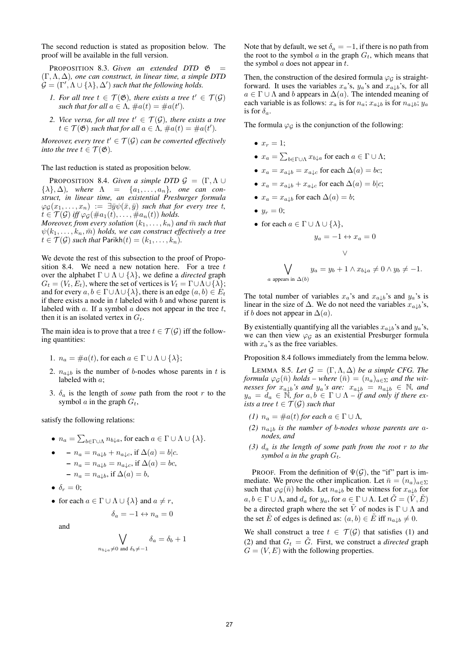The second reduction is stated as proposition below. The proof will be available in the full version.

PROPOSITION 8.3. Given an extended DTD  $\mathfrak G$ (Γ,Λ, ∆)*, one can construct, in linear time, a simple DTD*  $\mathcal{G} = (\Gamma', \Lambda \cup \{\lambda\}, \Delta')$  such that the following holds.

- *1. For all tree*  $t \in \mathcal{T}(\mathfrak{G})$ *, there exists a tree*  $t' \in \mathcal{T}(\mathcal{G})$ *such that for all*  $a \in \Lambda$ ,  $\#a(t) = \#a(t')$ .
- 2. Vice versa, for all tree  $t' \in \mathcal{T}(\mathcal{G})$ , there exists a tree  $t \in \mathcal{T}(\mathfrak{G})$  such that for all  $a \in \Lambda$ ,  $\#a(t) = \#a(t')$ .

*Moreover, every tree*  $t' \in \mathcal{T}(\mathcal{G})$  *can be converted effectively into the tree*  $t \in \mathcal{T}(\mathfrak{G})$ *.* 

The last reduction is stated as proposition below.

**PROPOSITION 8.4.** *Given a simple DTD*  $\mathcal{G} = (\Gamma, \Lambda \cup \mathcal{G})$  $\{\lambda\}, \Delta$ )*, where*  $\Lambda = \{a_1, \ldots, a_n\}$ *, one can construct, in linear time, an existential Presburger formula*  $\varphi_{\mathcal{G}}(x_1,\ldots,x_n) := \exists \bar{y}\psi(\bar{x},\bar{y})$  *such that for every tree t,*  $t \in \mathcal{T}(\mathcal{G})$  *iff*  $\varphi_{\mathcal{G}}(\#a_1(t), \ldots, \#a_n(t))$  *holds.* 

*Moreover, from every solution*  $(k_1, \ldots, k_n)$  *and*  $\bar{m}$  *such that*  $\psi(k_1, \ldots, k_n, \bar{m})$  *holds, we can construct effectively a tree*  $t \in \mathcal{T}(\mathcal{G})$  *such that* Parikh $(t) = (k_1, \ldots, k_n)$ .

We devote the rest of this subsection to the proof of Proposition 8.4. We need a new notation here. For a tree  $t$ over the alphabet  $\Gamma \cup \Lambda \cup \{\lambda\}$ , we define a *directed* graph  $G_t = (V_t, E_t)$ , where the set of vertices is  $V_t = \Gamma \cup \Lambda \cup \{\lambda\};$ and for every  $a, b \in \Gamma \cup \Lambda \cup \{\lambda\}$ , there is an edge  $(a, b) \in E_t$ if there exists a node in  $t$  labeled with  $b$  and whose parent is labeled with a. If a symbol  $\alpha$  does not appear in the tree  $t$ , then it is an isolated vertex in  $G_t$ .

The main idea is to prove that a tree  $t \in \mathcal{T}(\mathcal{G})$  iff the following quantities:

- 1.  $n_a = \text{#}a(t)$ , for each  $a \in \Gamma \cup \Lambda \cup \{\lambda\};$
- 2.  $n_{a,b}$  is the number of b-nodes whose parents in t is labeled with a;
- 3.  $\delta_a$  is the length of *some* path from the root r to the symbol a in the graph  $G_t$ ,

satisfy the following relations:

- $n_a = \sum_{b \in \Gamma \cup \Lambda} n_{b \downarrow a}$ , for each  $a \in \Gamma \cup \Lambda \cup \{\lambda\}$ .
- –  $n_a = n_{a\perp b} + n_{a\perp c}$ , if  $\Delta(a) = b|c$ .  $- n_a = n_{a \downarrow b} = n_{a \downarrow c}$ , if  $\Delta(a) = bc$ ,  $- n_a = n_{a \downarrow b}$ , if  $\Delta(a) = b$ ,
- $\delta_r = 0$ ;
- for each  $a \in \Gamma \cup \Lambda \cup \{\lambda\}$  and  $a \neq r$ ,

$$
\delta_a = -1 \leftrightarrow n_a = 0
$$

and

$$
\bigvee_{n_{b\downarrow a}\neq 0 \text{ and } \delta_b\neq -1} \delta_a = \delta_b + 1
$$

Note that by default, we set  $\delta_a = -1$ , if there is no path from the root to the symbol  $a$  in the graph  $G_t$ , which means that the symbol  $a$  does not appear in  $t$ .

Then, the construction of the desired formula  $\varphi_G$  is straightforward. It uses the variables  $x_a$ 's,  $y_a$ 's and  $x_{a\downarrow b}$ 's, for all  $a \in \Gamma \cup \Lambda$  and b appears in  $\Delta(a)$ . The intended meaning of each variable is as follows:  $x_a$  is for  $n_a$ ;  $x_{a\downarrow b}$  is for  $n_{a\downarrow b}$ ;  $y_a$ is for  $\delta_a$ .

The formula  $\varphi_G$  is the conjunction of the following:

- $x_r = 1$ ;
- $x_a = \sum_{b \in \Gamma \cup \Lambda} x_{b \downarrow a}$  for each  $a \in \Gamma \cup \Lambda$ ;
- $x_a = x_{a|b} = x_{a|c}$  for each  $\Delta(a) = bc$ ;
- $x_a = x_{a \downarrow b} + x_{a \downarrow c}$  for each  $\Delta(a) = b | c;$
- $x_a = x_{a \downarrow b}$  for each  $\Delta(a) = b$ ;
- $y_r = 0;$
- for each  $a \in \Gamma \cup \Lambda \cup \{\lambda\},\$

$$
y_a = -1 \leftrightarrow x_a = 0
$$
  

$$
\vee
$$
  

$$
\bigvee_{a \text{ appears in } \Delta(b)} y_a = y_b + 1 \wedge x_{b \downarrow a} \neq 0 \wedge y_b \neq -1.
$$

The total number of variables  $x_a$ 's and  $x_{a\downarrow b}$ 's and  $y_a$ 's is linear in the size of  $\Delta$ . We do not need the variables  $x_{a\downarrow b}$ 's, if b does not appear in  $\Delta(a)$ .

By existentially quantifying all the variables  $x_{a\downarrow b}$ 's and  $y_a$ 's, we can then view  $\varphi_G$  as an existential Presburger formula with  $x_a$ 's as the free variables.

Proposition 8.4 follows immediately from the lemma below.

LEMMA 8.5. Let  $\mathcal{G} = (\Gamma, \Lambda, \Delta)$  be a simple CFG. The *formula*  $\varphi_{\mathcal{G}}(\bar{n})$  *holds – where*  $(\bar{n}) = (n_a)_{a \in \Sigma}$  *and the witnesses for*  $x_{a\downarrow b}$ *'s and*  $y_a$ *'s are:*  $x_{a\downarrow b} = n_{a\downarrow b} \in \mathbb{N}$ *, and*  $y_a = d_a \in \mathbb{N}$ , for  $a, b \in \Gamma \cup \Lambda$  – if and only if there ex*ists a tree*  $t \in \mathcal{T}(\mathcal{G})$  *such that* 

- *(1)*  $n_a = \text{#a}(t)$  *for each*  $a \in \Gamma \cup \Lambda$ *,*
- (2)  $n_{a,b}$  *is the number of b-nodes whose parents are anodes, and*
- *(3)* d<sup>a</sup> *is the length of some path from the root* r *to the symbol* a *in the graph*  $G_t$ .

PROOF. From the definition of  $\Psi(\mathcal{G})$ , the "if" part is immediate. We prove the other implication. Let  $\bar{n} = (n_a)_{a \in \Sigma}$ such that  $\varphi_{\mathcal{G}}(\bar{n})$  holds. Let  $n_{a\downarrow b}$  be the witness for  $x_{a\downarrow b}$  for  $a, b \in \Gamma \cup \Lambda$ , and  $d_a$  for  $y_a$ , for  $a \in \Gamma \cup \Lambda$ . Let  $G = (V, E)$ be a directed graph where the set  $\tilde{V}$  of nodes is  $\Gamma \cup \Lambda$  and the set  $\tilde{E}$  of edges is defined as:  $(a, b) \in \tilde{E}$  iff  $n_{a,b} \neq 0$ .

We shall construct a tree  $t \in \mathcal{T}(\mathcal{G})$  that satisfies (1) and (2) and that  $G_t = \tilde{G}$ . First, we construct a *directed* graph  $G = (V, E)$  with the following properties.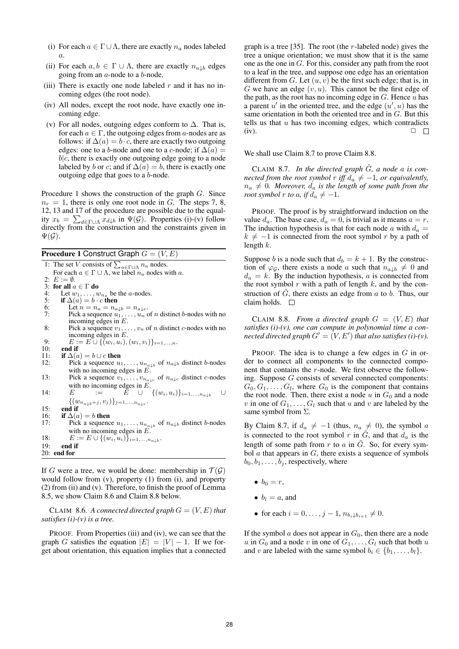- (i) For each  $a \in \Gamma \cup \Lambda$ , there are exactly  $n_a$  nodes labeled a.
- (ii) For each  $a, b \in \Gamma \cup \Lambda$ , there are exactly  $n_{a,b}$  edges going from an a-node to a b-node.
- (iii) There is exactly one node labeled  $r$  and it has no incoming edges (the root node).
- (iv) All nodes, except the root node, have exactly one incoming edge.
- (v) For all nodes, outgoing edges conform to  $\Delta$ . That is, for each  $a \in \Gamma$ , the outgoing edges from a-nodes are as follows: if  $\Delta(a) = b \cdot c$ , there are exactly two outgoing edges: one to a b-node and one to a c-node; if  $\Delta(a)$  =  $b|c$ , there is exactly one outgoing edge going to a node labeled by b or c; and if  $\Delta(a) = b$ , there is exactly one outgoing edge that goes to a  $\ddot{b}$ -node.

Procedure 1 shows the construction of the graph  $G$ . Since  $n_r = 1$ , there is only one root node in G. The steps 7, 8, 12, 13 and 17 of the procedure are possible due to the equality  $x_b = \sum_{d \in \Gamma \cup \Lambda} x_{d \downarrow b}$  in  $\Psi(\mathcal{G})$ . Properties (i)-(v) follow directly from the construction and the constraints given in  $\Psi(\mathcal{G})$ .

**Procedure 1 Construct Graph**  $G = (V, E)$ 

|     | 1: The set V consists of $\sum_{a \in \Gamma \cup \Lambda} n_a$ nodes.                       |
|-----|----------------------------------------------------------------------------------------------|
|     | For each $a \in \Gamma \cup \Lambda$ , we label $n_a$ nodes with a.                          |
|     | 2: $E := \emptyset$ .                                                                        |
|     | 3: for all $a \in \Gamma$ do                                                                 |
| 4:  | Let $w_1, \ldots, w_{n_a}$ be the <i>a</i> -nodes.                                           |
| 5:  | if $\Delta(a) = b \cdot c$ then                                                              |
| 6:  | Let $n = n_a = n_{a \downarrow b} = n_{a \downarrow c}$ .                                    |
| 7:  | Pick a sequence $u_1, \ldots, u_n$ of <i>n</i> distinct <i>b</i> -nodes with no              |
|     | incoming edges in $E$ .                                                                      |
| 8:  | Pick a sequence $v_1, \ldots, v_n$ of <i>n</i> distinct <i>c</i> -nodes with no              |
|     | incoming edges in $E$ .                                                                      |
| 9:  | $E := E \cup \{(w_i, u_i), (w_i, v_i)\}_{i=1,\ldots,n}.$                                     |
| 10: | end if                                                                                       |
| 11: | if $\Delta(a) = b \cup c$ then                                                               |
| 12: | Pick a sequence $u_1, \ldots, u_{n_{a\downarrow b}}$ of $n_{a\downarrow b}$ distinct b-nodes |
|     | with no incoming edges in $E$ .                                                              |
| 13: | Pick a sequence $v_1, \ldots, v_{n_{a\downarrow c}}$ of $n_{a\downarrow c}$ distinct c-nodes |
|     | with no incoming edges in $E$ .                                                              |
| 14: | $\tilde{E}$ $\cup$ $\{(w_i, u_i)\}_{i=1,,n_{a,b}}$<br>E<br>$:=$ $-$<br>$\cup$                |
|     | $\{(w_{n_{a\downarrow b}+j},v_j)\}_{j=1,,n_{a\downarrow c}}$ .                               |
|     |                                                                                              |
| 15: | end if                                                                                       |
| 16: | if $\Delta(a) = b$ then                                                                      |
| 17: | Pick a sequence $u_1, \ldots, u_{n_{a\downarrow b}}$ of $n_{a\downarrow b}$ distinct b-nodes |
|     | with no incoming edges in $E$ .                                                              |
| 18: | $E := E \cup \{(w_i, u_i)\}_{i=1,,n_{a,b}}$ .                                                |
| 19: | end if                                                                                       |
|     | $20:$ end for                                                                                |
|     |                                                                                              |

If G were a tree, we would be done: membership in  $\mathcal{T}(\mathcal{G})$ would follow from (v), property (1) from (i), and property (2) from (ii) and (v). Therefore, to finish the proof of Lemma 8.5, we show Claim 8.6 and Claim 8.8 below.

CLAIM 8.6. A connected directed graph  $G = (V, E)$  that *satisfies (i)-(v) is a tree.*

PROOF. From Properties (iii) and (iv), we can see that the graph G satisfies the equation  $|E| = |V| - 1$ . If we forget about orientation, this equation implies that a connected

graph is a tree [35]. The root (the  $r$ -labeled node) gives the tree a unique orientation; we must show that it is the same one as the one in G. For this, consider any path from the root to a leaf in the tree, and suppose one edge has an orientation different from  $G$ . Let  $(u, v)$  be the first such edge; that is, in G we have an edge  $(v, u)$ . This cannot be the first edge of the path, as the root has no incoming edge in  $G$ . Hence  $u$  has a parent  $u'$  in the oriented tree, and the edge  $(u', u)$  has the same orientation in both the oriented tree and in G. But this tells us that  $u$  has two incoming edges, which contradicts (iv).  $\Box$ 

We shall use Claim 8.7 to prove Claim 8.8.

CLAIM 8.7. In the directed graph  $\tilde{G}$ , a node a is con*nected from the root symbol* r *iff*  $d_a \neq -1$ , or equivalently,  $n_a \neq 0$ *. Moreover,*  $d_a$  *is the length of some path from the root symbol*  $r$  *to*  $a$ *, if*  $d_a \neq -1$ *.* 

PROOF. The proof is by straightforward induction on the value  $d_a$ . The base case,  $d_a = 0$ , is trivial as it means  $a = r$ . The induction hypothesis is that for each node a with  $d_a =$  $k \neq -1$  is connected from the root symbol r by a path of length  $k$ .

Suppose b is a node such that  $d_b = k + 1$ . By the construction of  $\varphi_G$ , there exists a node a such that  $n_{a,b} \neq 0$  and  $d_a = k$ . By the induction hypothesis, a is connected from the root symbol  $r$  with a path of length  $k$ , and by the construction of  $\tilde{G}$ , there exists an edge from  $a$  to  $b$ . Thus, our claim holds.  $\square$ 

CLAIM 8.8. *From a directed graph*  $G = (V, E)$  *that satisfies (i)-(v), one can compute in polynomial time a con*nected directed graph  $G' = (V, E')$  that also satisfies (i)-(v).

PROOF. The idea is to change a few edges in  $G$  in order to connect all components to the connected component that contains the r-node. We first observe the following. Suppose G consists of several connected components:  $G_0, G_1, \ldots, G_l$ , where  $G_0$  is the component that contains the root node. Then, there exist a node u in  $G_0$  and a node v in one of  $G_1, \ldots, G_l$  such that u and v are labeled by the same symbol from  $\Sigma$ .

By Claim 8.7, if  $d_a \neq -1$  (thus,  $n_a \neq 0$ ), the symbol a is connected to the root symbol r in  $\tilde{G}$ , and that  $d_a$  is the length of some path from r to a in  $\tilde{G}$ . So, for every symbol  $a$  that appears in  $G$ , there exists a sequence of symbols  $b_0, b_1, \ldots, b_j$ , respectively, where

- $\bullet$   $b_0 = r$ ,
- $\bullet$   $b_i = a$ , and
- for each  $i = 0, \ldots, j 1, n_{b_i \downarrow b_{i+1}} \neq 0$ .

If the symbol  $a$  does not appear in  $G_0$ , then there are a node u in  $G_0$  and a node v in one of  $G_1, \ldots, G_l$  such that both u and v are labeled with the same symbol  $b_i \in \{b_1, \ldots, b_l\}$ .